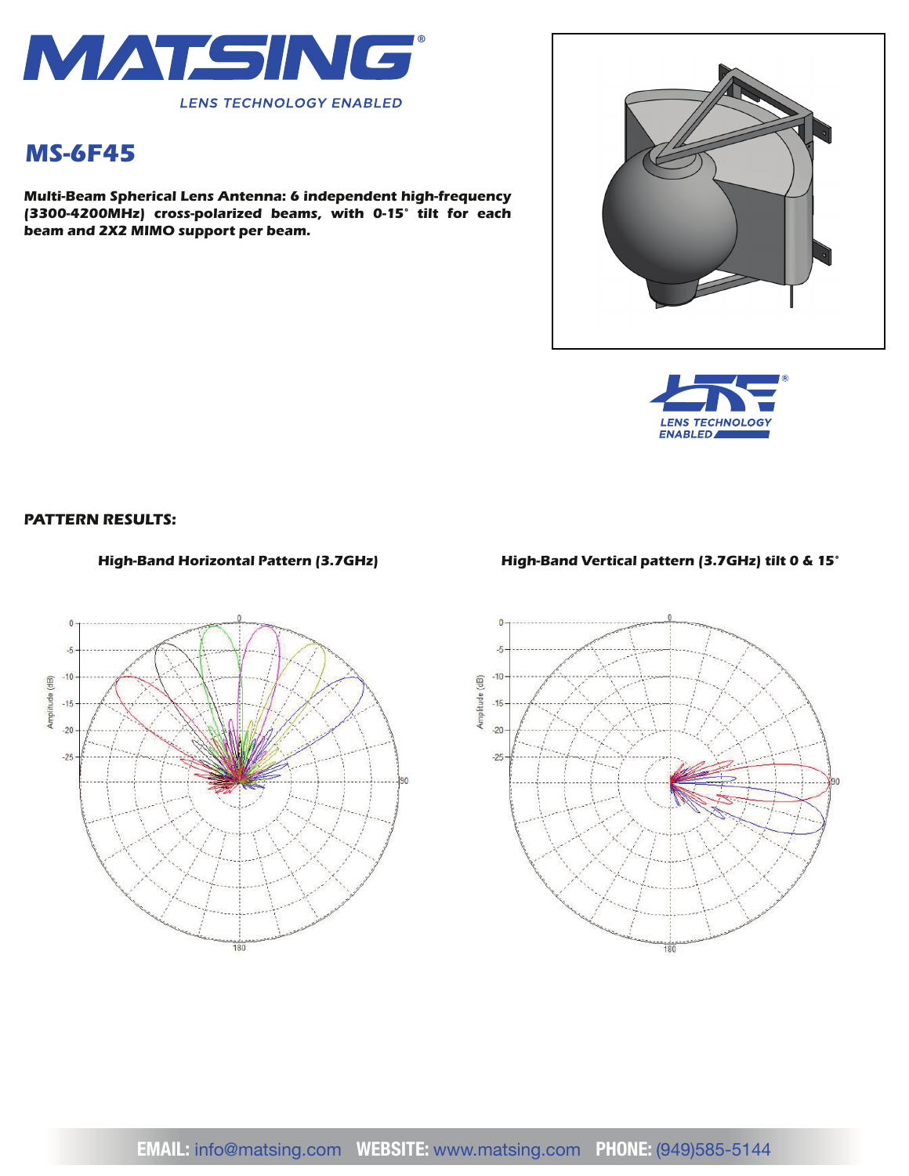

# *MS-6F45*

*Multi-Beam Spherical Lens Antenna: 6 independent high-frequency (3300-4200MHz) cross-polarized beams, with 0-15° tilt for each beam and 2X2 MIMO support per beam.*





#### *PATTERN RESULTS:*



#### *High-Band Horizontal Pattern (3.7GHz) High-Band Vertical pattern (3.7GHz) tilt 0 & 15°*